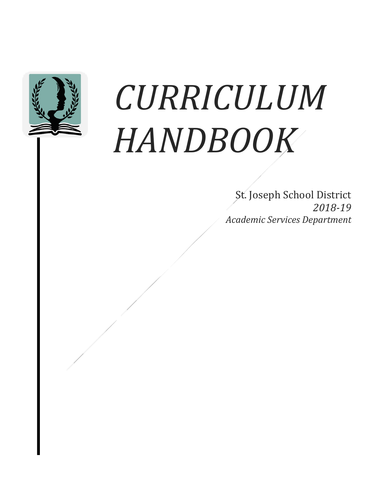

# *CURRICULUM HANDBOOK*

St. Joseph School District *2018-19 Academic Services Department*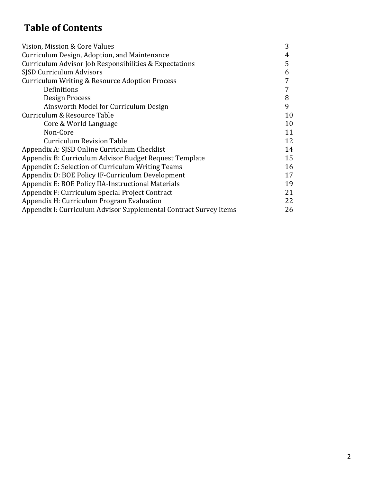# **Table of Contents**

| Vision, Mission & Core Values                                     | 3  |
|-------------------------------------------------------------------|----|
| Curriculum Design, Adoption, and Maintenance                      | 4  |
| Curriculum Advisor Job Responsibilities & Expectations            | 5  |
| SJSD Curriculum Advisors                                          | 6  |
| Curriculum Writing & Resource Adoption Process                    | 7  |
| Definitions                                                       |    |
| Design Process                                                    | 8  |
| Ainsworth Model for Curriculum Design                             | 9  |
| Curriculum & Resource Table                                       | 10 |
| Core & World Language                                             | 10 |
| Non-Core                                                          | 11 |
| <b>Curriculum Revision Table</b>                                  | 12 |
| Appendix A: SJSD Online Curriculum Checklist                      | 14 |
| Appendix B: Curriculum Advisor Budget Request Template            | 15 |
| Appendix C: Selection of Curriculum Writing Teams                 | 16 |
| Appendix D: BOE Policy IF-Curriculum Development                  | 17 |
| Appendix E: BOE Policy IIA-Instructional Materials                | 19 |
| Appendix F: Curriculum Special Project Contract                   | 21 |
| Appendix H: Curriculum Program Evaluation                         | 22 |
| Appendix I: Curriculum Advisor Supplemental Contract Survey Items | 26 |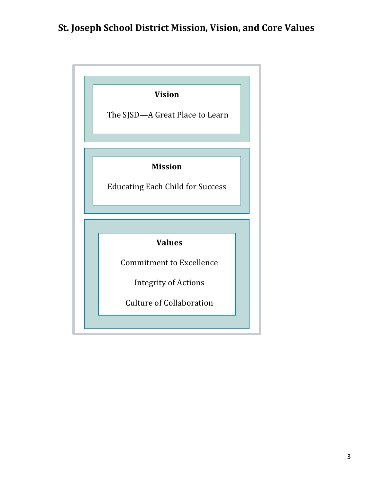# **St. Joseph School District Mission, Vision, and Core Values**

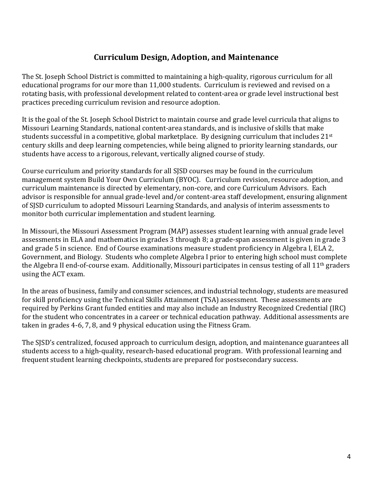# **Curriculum Design, Adoption, and Maintenance**

The St. Joseph School District is committed to maintaining a high-quality, rigorous curriculum for all educational programs for our more than 11,000 students. Curriculum is reviewed and revised on a rotating basis, with professional development related to content-area or grade level instructional best practices preceding curriculum revision and resource adoption.

It is the goal of the St. Joseph School District to maintain course and grade level curricula that aligns to Missouri Learning Standards, national content-area standards, and is inclusive of skills that make students successful in a competitive, global marketplace. By designing curriculum that includes  $21^{st}$ century skills and deep learning competencies, while being aligned to priority learning standards, our students have access to a rigorous, relevant, vertically aligned course of study.

Course curriculum and priority standards for all SJSD courses may be found in the curriculum management system Build Your Own Curriculum (BYOC). Curriculum revision, resource adoption, and curriculum maintenance is directed by elementary, non-core, and core Curriculum Advisors. Each advisor is responsible for annual grade-level and/or content-area staff development, ensuring alignment of SJSD curriculum to adopted Missouri Learning Standards, and analysis of interim assessments to monitor both curricular implementation and student learning.

In Missouri, the Missouri Assessment Program (MAP) assesses student learning with annual grade level assessments in ELA and mathematics in grades 3 through 8; a grade-span assessment is given in grade 3 and grade 5 in science. End of Course examinations measure student proficiency in Algebra I, ELA 2, Government, and Biology. Students who complete Algebra I prior to entering high school must complete the Algebra II end-of-course exam. Additionally, Missouri participates in census testing of all  $11<sup>th</sup>$  graders using the ACT exam.

In the areas of business, family and consumer sciences, and industrial technology, students are measured for skill proficiency using the Technical Skills Attainment (TSA) assessment. These assessments are required by Perkins Grant funded entities and may also include an Industry Recognized Credential (IRC) for the student who concentrates in a career or technical education pathway. Additional assessments are taken in grades  $4-6$ ,  $7$ ,  $8$ , and  $9$  physical education using the Fitness Gram.

The SJSD's centralized, focused approach to curriculum design, adoption, and maintenance guarantees all students access to a high-quality, research-based educational program. With professional learning and frequent student learning checkpoints, students are prepared for postsecondary success.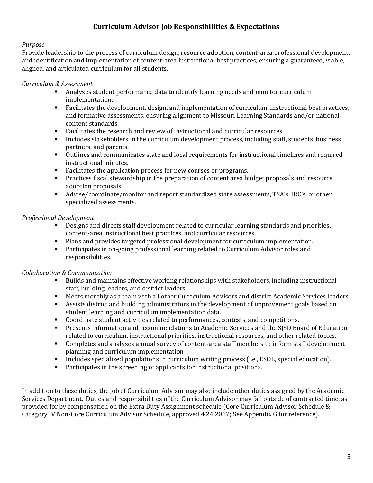#### **Curriculum Advisor Job Responsibilities & Expectations**

#### *Purpose*

Provide leadership to the process of curriculum design, resource adoption, content-area professional development, and identification and implementation of content-area instructional best practices, ensuring a guaranteed, viable, aligned, and articulated curriculum for all students.

#### *Curriculum & Assessment*

- Analyzes student performance data to identify learning needs and monitor curriculum implementation.
- Facilitates the development, design, and implementation of curriculum, instructional best practices, and formative assessments, ensuring alignment to Missouri Learning Standards and/or national content standards.
- Facilitates the research and review of instructional and curricular resources.
- Includes stakeholders in the curriculum development process, including staff, students, business partners, and parents.
- Outlines and communicates state and local requirements for instructional timelines and required instructional minutes.
- Facilitates the application process for new courses or programs.
- Practices fiscal stewardship in the preparation of content area budget proposals and resource adoption proposals
- Advise/coordinate/monitor and report standardized state assessments, TSA's, IRC's, or other specialized assessments.

#### *Professional Development*

- Designs and directs staff development related to curricular learning standards and priorities, content-area instructional best practices, and curricular resources.
- Plans and provides targeted professional development for curriculum implementation.
- Participates in on-going professional learning related to Curriculum Advisor roles and responsibilities.

#### *Collaboration & Communication*

- Builds and maintains effective working relationships with stakeholders, including instructional staff, building leaders, and district leaders.
- Meets monthly as a team with all other Curriculum Advisors and district Academic Services leaders.
- Assists district and building administrators in the development of improvement goals based on student learning and curriculum implementation data.
- Coordinate student activities related to performances, contests, and competitions.
- Presents information and recommendations to Academic Services and the SJSD Board of Education related to curriculum, instructional priorities, instructional resources, and other related topics.
- Completes and analyzes annual survey of content-area staff members to inform staff development planning and curriculum implementation
- Includes specialized populations in curriculum writing process (i.e., ESOL, special education).
- Participates in the screening of applicants for instructional positions.

In addition to these duties, the job of Curriculum Advisor may also include other duties assigned by the Academic Services Department. Duties and responsibilities of the Curriculum Advisor may fall outside of contracted time, as provided for by compensation on the Extra Duty Assignment schedule (Core Curriculum Advisor Schedule & Category IV Non-Core Curriculum Advisor Schedule, approved 4.24.2017; See Appendix G for reference).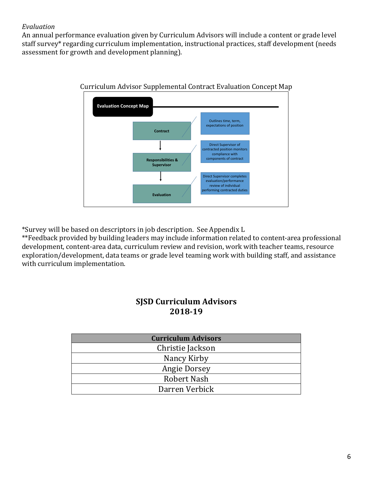#### *Evaluation*

An annual performance evaluation given by Curriculum Advisors will include a content or grade level staff survey\* regarding curriculum implementation, instructional practices, staff development (needs assessment for growth and development planning).



Curriculum Advisor Supplemental Contract Evaluation Concept Map

\*Survey will be based on descriptors in job description. See Appendix L

\*\*Feedback provided by building leaders may include information related to content-area professional development, content-area data, curriculum review and revision, work with teacher teams, resource exploration/development, data teams or grade level teaming work with building staff, and assistance with curriculum implementation.

#### **SJSD Curriculum Advisors 2018-19**

| <b>Curriculum Advisors</b> |  |  |
|----------------------------|--|--|
| Christie Jackson           |  |  |
| Nancy Kirby                |  |  |
| <b>Angie Dorsey</b>        |  |  |
| Robert Nash                |  |  |
| Darren Verbick             |  |  |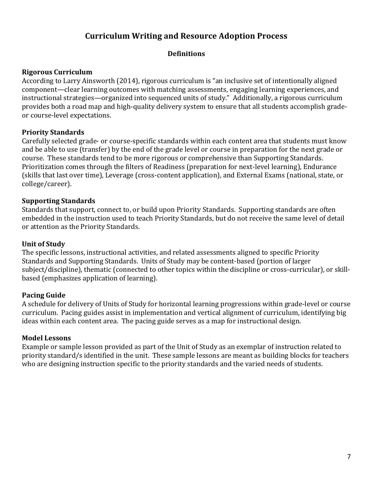# **Curriculum Writing and Resource Adoption Process**

#### **Definitions**

#### **Rigorous Curriculum**

According to Larry Ainsworth (2014), rigorous curriculum is "an inclusive set of intentionally aligned component—clear learning outcomes with matching assessments, engaging learning experiences, and instructional strategies—organized into sequenced units of study." Additionally, a rigorous curriculum provides both a road map and high-quality delivery system to ensure that all students accomplish gradeor course-level expectations.

#### **Priority Standards**

Carefully selected grade- or course-specific standards within each content area that students must know and be able to use (transfer) by the end of the grade level or course in preparation for the next grade or course. These standards tend to be more rigorous or comprehensive than Supporting Standards. Prioritization comes through the filters of Readiness (preparation for next-level learning), Endurance (skills that last over time), Leverage (cross-content application), and External Exams (national, state, or college/career).

#### **Supporting Standards**

Standards that support, connect to, or build upon Priority Standards. Supporting standards are often embedded in the instruction used to teach Priority Standards, but do not receive the same level of detail or attention as the Priority Standards.

#### **Unit of Study**

The specific lessons, instructional activities, and related assessments aligned to specific Priority Standards and Supporting Standards. Units of Study may be content-based (portion of larger subject/discipline), thematic (connected to other topics within the discipline or cross-curricular), or skillbased (emphasizes application of learning).

#### **Pacing Guide**

A schedule for delivery of Units of Study for horizontal learning progressions within grade-level or course curriculum. Pacing guides assist in implementation and vertical alignment of curriculum, identifying big ideas within each content area. The pacing guide serves as a map for instructional design.

#### **Model Lessons**

Example or sample lesson provided as part of the Unit of Study as an exemplar of instruction related to priority standard/s identified in the unit. These sample lessons are meant as building blocks for teachers who are designing instruction specific to the priority standards and the varied needs of students.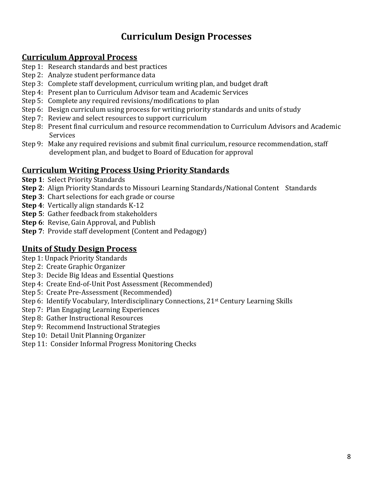# **Curriculum Design Processes**

### **Curriculum Approval Process**

- Step 1: Research standards and best practices
- Step 2: Analyze student performance data
- Step 3: Complete staff development, curriculum writing plan, and budget draft
- Step 4: Present plan to Curriculum Advisor team and Academic Services
- Step 5: Complete any required revisions/modifications to plan
- Step 6: Design curriculum using process for writing priority standards and units of study
- Step 7: Review and select resources to support curriculum
- Step 8: Present final curriculum and resource recommendation to Curriculum Advisors and Academic **Services**
- Step 9: Make any required revisions and submit final curriculum, resource recommendation, staff development plan, and budget to Board of Education for approval

# **<u>Curriculum Writing Process Using Priority Standards</u>**

- **Step 1: Select Priority Standards**
- **Step 2:** Align Priority Standards to Missouri Learning Standards/National Content Standards
- **Step 3**: Chart selections for each grade or course
- **Step 4:** Vertically align standards K-12
- **Step 5:** Gather feedback from stakeholders
- **Step 6**: Revise, Gain Approval, and Publish
- **Step 7:** Provide staff development (Content and Pedagogy)

# **Units of Study Design Process**

- Step 1: Unpack Priority Standards
- Step 2: Create Graphic Organizer
- Step 3: Decide Big Ideas and Essential Questions
- Step 4: Create End-of-Unit Post Assessment (Recommended)
- Step 5: Create Pre-Assessment (Recommended)
- Step 6: Identify Vocabulary, Interdisciplinary Connections, 21<sup>st</sup> Century Learning Skills
- Step 7: Plan Engaging Learning Experiences
- Step 8: Gather Instructional Resources
- Step 9: Recommend Instructional Strategies
- Step 10: Detail Unit Planning Organizer
- Step 11: Consider Informal Progress Monitoring Checks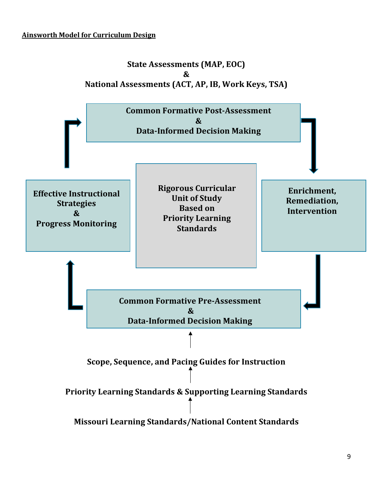### **Ainsworth Model for Curriculum Design**

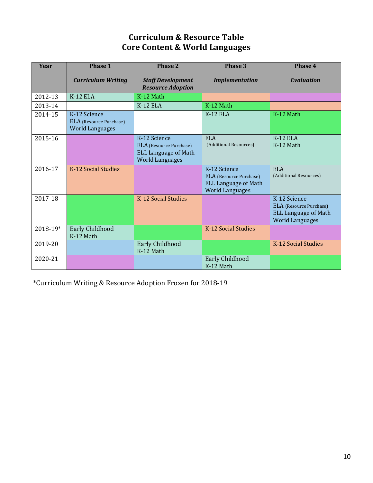# **Curriculum & Resource Table Core Content & World Languages**

| <b>Year</b>  | Phase 1                                                                  | Phase 2                                                                                          | Phase 3                                                                                                 | Phase 4                                                                                          |
|--------------|--------------------------------------------------------------------------|--------------------------------------------------------------------------------------------------|---------------------------------------------------------------------------------------------------------|--------------------------------------------------------------------------------------------------|
|              | <b>Curriculum Writing</b>                                                | <b>Staff Development</b><br><b>Resource Adoption</b>                                             | <b>Implementation</b>                                                                                   | <b>Evaluation</b>                                                                                |
| 2012-13      | $K-12$ ELA                                                               | K-12 Math                                                                                        |                                                                                                         |                                                                                                  |
| 2013-14      |                                                                          | $K-12$ ELA                                                                                       | $K-12$ Math                                                                                             |                                                                                                  |
| 2014-15      | K-12 Science<br><b>ELA</b> (Resource Purchase)<br><b>World Languages</b> |                                                                                                  | $K-12$ ELA                                                                                              | K-12 Math                                                                                        |
| 2015-16      |                                                                          | K-12 Science<br>ELA (Resource Purchase)<br><b>ELL Language of Math</b><br><b>World Languages</b> | <b>ELA</b><br>(Additional Resources)                                                                    | $K-12$ ELA<br>K-12 Math                                                                          |
| 2016-17      | K-12 Social Studies                                                      |                                                                                                  | K-12 Science<br><b>ELA</b> (Resource Purchase)<br><b>ELL Language of Math</b><br><b>World Languages</b> | ELA<br>(Additional Resources)                                                                    |
| 2017-18      |                                                                          | K-12 Social Studies                                                                              |                                                                                                         | K-12 Science<br>ELA (Resource Purchase)<br><b>ELL Language of Math</b><br><b>World Languages</b> |
| $2018 - 19*$ | Early Childhood<br>K-12 Math                                             |                                                                                                  | K-12 Social Studies                                                                                     |                                                                                                  |
| 2019-20      |                                                                          | Early Childhood<br>K-12 Math                                                                     |                                                                                                         | K-12 Social Studies                                                                              |
| 2020-21      |                                                                          |                                                                                                  | Early Childhood<br>K-12 Math                                                                            |                                                                                                  |

 \*Curriculum Writing & Resource Adoption Frozen for 2018-19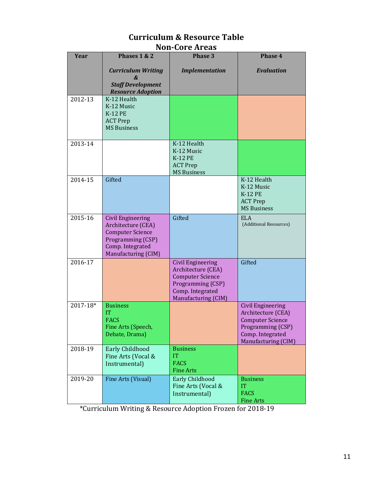| <b>Year</b> | Phases 1 & 2                                                                                                                              | Phase 3                                                                                                                                   | <b>Phase 4</b>                                                                                                                            |
|-------------|-------------------------------------------------------------------------------------------------------------------------------------------|-------------------------------------------------------------------------------------------------------------------------------------------|-------------------------------------------------------------------------------------------------------------------------------------------|
|             | <b>Curriculum Writing</b><br>&<br><b>Staff Development</b><br><b>Resource Adoption</b>                                                    | <b>Implementation</b>                                                                                                                     | <b>Evaluation</b>                                                                                                                         |
| 2012-13     | K-12 Health<br>K-12 Music<br><b>K-12 PE</b><br><b>ACT Prep</b><br><b>MS Business</b>                                                      |                                                                                                                                           |                                                                                                                                           |
| 2013-14     |                                                                                                                                           | K-12 Health<br>K-12 Music<br><b>K-12 PE</b><br><b>ACT Prep</b><br><b>MS Business</b>                                                      |                                                                                                                                           |
| 2014-15     | Gifted                                                                                                                                    |                                                                                                                                           | K-12 Health<br>K-12 Music<br><b>K-12 PE</b><br><b>ACT Prep</b><br><b>MS Business</b>                                                      |
| 2015-16     | <b>Civil Engineering</b><br>Architecture (CEA)<br><b>Computer Science</b><br>Programming (CSP)<br>Comp. Integrated<br>Manufacturing (CIM) | Gifted                                                                                                                                    | <b>ELA</b><br>(Additional Resources)                                                                                                      |
| 2016-17     |                                                                                                                                           | <b>Civil Engineering</b><br>Architecture (CEA)<br><b>Computer Science</b><br>Programming (CSP)<br>Comp. Integrated<br>Manufacturing (CIM) | Gifted                                                                                                                                    |
| 2017-18*    | <b>Business</b><br>IT<br><b>FACS</b><br>Fine Arts (Speech,<br>Debate, Drama)                                                              |                                                                                                                                           | <b>Civil Engineering</b><br>Architecture (CEA)<br><b>Computer Science</b><br>Programming (CSP)<br>Comp. Integrated<br>Manufacturing (CIM) |
| 2018-19     | Early Childhood<br>Fine Arts (Vocal &<br>Instrumental)                                                                                    | <b>Business</b><br>IT<br><b>FACS</b><br><b>Fine Arts</b>                                                                                  |                                                                                                                                           |
| 2019-20     | Fine Arts (Visual)                                                                                                                        | Early Childhood<br>Fine Arts (Vocal &<br>Instrumental)                                                                                    | <b>Business</b><br><b>IT</b><br><b>FACS</b><br><b>Fine Arts</b>                                                                           |

#### **Curriculum & Resource Table Non-Core Areas**

 \*Curriculum Writing & Resource Adoption Frozen for 2018-19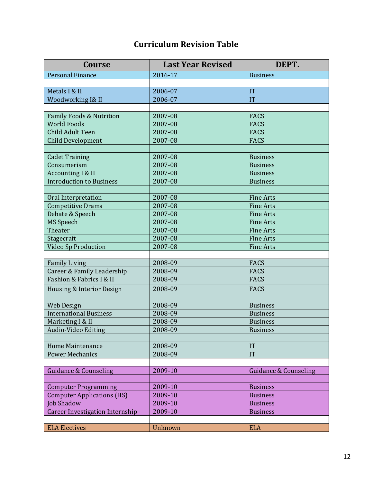# **Curriculum Revision Table**

| <b>Course</b>                          | <b>Last Year Revised</b> | DEPT.                            |
|----------------------------------------|--------------------------|----------------------------------|
| <b>Personal Finance</b>                | 2016-17                  | <b>Business</b>                  |
|                                        |                          |                                  |
| Metals I & II                          | 2006-07                  | IT                               |
| Woodworking I& II                      | 2006-07                  | IT                               |
|                                        |                          |                                  |
| <b>Family Foods &amp; Nutrition</b>    | 2007-08                  | <b>FACS</b>                      |
| <b>World Foods</b>                     | 2007-08                  | <b>FACS</b>                      |
| <b>Child Adult Teen</b>                | 2007-08                  | FACS                             |
| <b>Child Development</b>               | 2007-08                  | <b>FACS</b>                      |
|                                        |                          |                                  |
| <b>Cadet Training</b>                  | 2007-08                  | <b>Business</b>                  |
| Consumerism                            | 2007-08                  | <b>Business</b>                  |
| Accounting I & II                      | 2007-08                  | <b>Business</b>                  |
| <b>Introduction to Business</b>        | 2007-08                  | <b>Business</b>                  |
|                                        |                          |                                  |
| Oral Interpretation                    | 2007-08                  | <b>Fine Arts</b>                 |
| Competitive Drama                      | 2007-08                  | <b>Fine Arts</b>                 |
| Debate & Speech                        | 2007-08                  | <b>Fine Arts</b>                 |
| MS Speech                              | 2007-08                  | <b>Fine Arts</b>                 |
| Theater                                | 2007-08                  | <b>Fine Arts</b>                 |
| Stagecraft                             | 2007-08                  | <b>Fine Arts</b>                 |
| Video Sp Production                    | 2007-08                  | <b>Fine Arts</b>                 |
|                                        |                          |                                  |
| <b>Family Living</b>                   | 2008-09                  | <b>FACS</b>                      |
| Career & Family Leadership             | 2008-09                  | <b>FACS</b>                      |
| Fashion & Fabrics I & II               | 2008-09                  | FACS                             |
| Housing & Interior Design              | 2008-09                  | <b>FACS</b>                      |
|                                        |                          |                                  |
| Web Design                             | 2008-09                  | <b>Business</b>                  |
| <b>International Business</b>          | 2008-09                  | <b>Business</b>                  |
| Marketing I & II                       | 2008-09                  | <b>Business</b>                  |
| Audio-Video Editing                    | 2008-09                  | <b>Business</b>                  |
|                                        |                          |                                  |
| Home Maintenance                       | 2008-09                  | IT                               |
| <b>Power Mechanics</b>                 | 2008-09                  | IT                               |
|                                        |                          |                                  |
| <b>Guidance &amp; Counseling</b>       | 2009-10                  | <b>Guidance &amp; Counseling</b> |
|                                        |                          |                                  |
| <b>Computer Programming</b>            | 2009-10                  | <b>Business</b>                  |
| <b>Computer Applications (HS)</b>      | 2009-10                  | <b>Business</b>                  |
| Job Shadow                             | 2009-10                  | <b>Business</b>                  |
| <b>Career Investigation Internship</b> | 2009-10                  | <b>Business</b>                  |
|                                        |                          |                                  |
| <b>ELA Electives</b>                   | Unknown                  | <b>ELA</b>                       |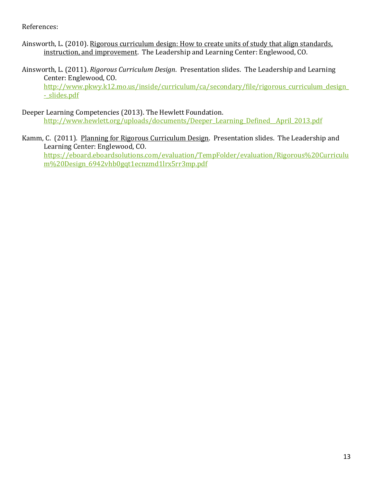References:

- Ainsworth, L. (2010). Rigorous curriculum design: How to create units of study that align standards, instruction, and improvement. The Leadership and Learning Center: Englewood, CO.
- Ainsworth, L. (2011). *Rigorous Curriculum Design*. Presentation slides. The Leadership and Learning Center: Englewood, CO. http://www.pkwy.k12.mo.us/inside/curriculum/ca/secondary/file/rigorous\_curriculum\_design\_ - slides.pdf
- Deeper Learning Competencies (2013). The Hewlett Foundation. http://www.hewlett.org/uploads/documents/Deeper\_Learning\_Defined\_\_April\_2013.pdf
- Kamm, C. (2011). Planning for Rigorous Curriculum Design. Presentation slides. The Leadership and Learning Center: Englewood, CO. https://eboard.eboardsolutions.com/evaluation/TempFolder/evaluation/Rigorous%20Curriculu m%20Design\_6942vhb0gqt1ecnzmd1lrx5rr3mp.pdf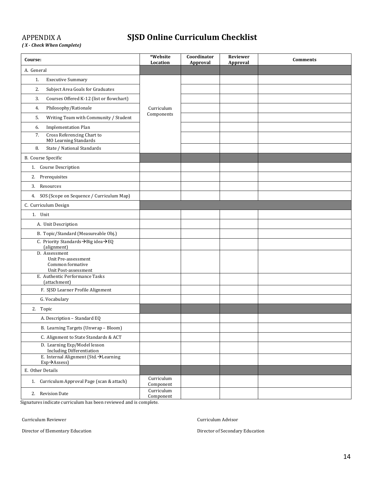# APPENDIX A **SJSD Online Curriculum Checklist**

*( X - Check When Complete)*

| Course:                                                                              | *Website<br>Location    | Coordinator<br>Approval | Reviewer<br>Approval | <b>Comments</b> |
|--------------------------------------------------------------------------------------|-------------------------|-------------------------|----------------------|-----------------|
| A. General                                                                           |                         |                         |                      |                 |
| 1.<br><b>Executive Summary</b>                                                       |                         |                         |                      |                 |
| 2.<br>Subject Area Goals for Graduates                                               |                         |                         |                      |                 |
| 3.<br>Courses Offered K-12 (list or flowchart)                                       |                         |                         |                      |                 |
| Philosophy/Rationale<br>4.                                                           | Curriculum              |                         |                      |                 |
| 5.<br>Writing Team with Community / Student                                          | Components              |                         |                      |                 |
| <b>Implementation Plan</b><br>6.                                                     |                         |                         |                      |                 |
| Cross Referencing Chart to<br>7.<br><b>MO Learning Standards</b>                     |                         |                         |                      |                 |
| State / National Standards<br>8.                                                     |                         |                         |                      |                 |
| B. Course Specific                                                                   |                         |                         |                      |                 |
| 1. Course Description                                                                |                         |                         |                      |                 |
| Prerequisites<br>2.                                                                  |                         |                         |                      |                 |
| 3. Resources                                                                         |                         |                         |                      |                 |
| 4. SOS (Scope on Sequence / Curriculum Map)                                          |                         |                         |                      |                 |
| C. Curriculum Design                                                                 |                         |                         |                      |                 |
| 1. Unit                                                                              |                         |                         |                      |                 |
| A. Unit Description                                                                  |                         |                         |                      |                 |
| B. Topic/Standard (Measureable Obj.)                                                 |                         |                         |                      |                 |
| C. Priority Standards → Big idea → EQ<br>(alignment)                                 |                         |                         |                      |                 |
| D. Assessment<br>Unit Pre-assessment<br>Common formative<br>Unit Post-assessment     |                         |                         |                      |                 |
| E. Authentic Performance Tasks<br>(attachment)                                       |                         |                         |                      |                 |
| F. SJSD Learner Profile Alignment                                                    |                         |                         |                      |                 |
| G. Vocabulary                                                                        |                         |                         |                      |                 |
| 2. Topic                                                                             |                         |                         |                      |                 |
| A. Description - Standard EQ                                                         |                         |                         |                      |                 |
| B. Learning Targets (Unwrap - Bloom)                                                 |                         |                         |                      |                 |
| C. Alignment to State Standards & ACT                                                |                         |                         |                      |                 |
| D. Learning Exp/Model lesson<br><b>Including Differentiation</b>                     |                         |                         |                      |                 |
| E. Internal Alignment (Std. >Learning<br>$Exp \rightarrow$ Assess)                   |                         |                         |                      |                 |
| E. Other Details                                                                     |                         |                         |                      |                 |
| 1. Curriculum Approval Page (scan & attach)                                          | Curriculum<br>Component |                         |                      |                 |
| 2. Revision Date<br>Signatures indicate curriculum has been reviewed and is complete | Curriculum<br>Component |                         |                      |                 |

Signatures indicate curriculum has been reviewed and is complete.

Curriculum Reviewer Curriculum Advisor

Director of Elementary Education **Director** of Secondary Education Director of Secondary Education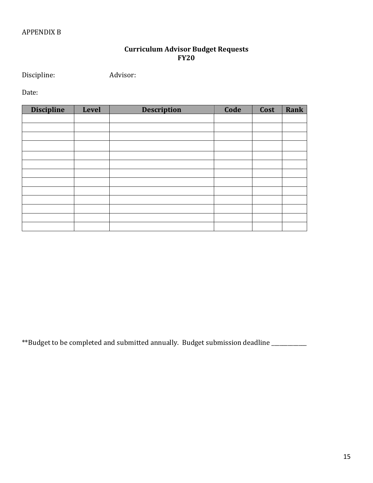#### **Curriculum Advisor Budget Requests FY20**

Discipline: Advisor:

Date:

| <b>Discipline</b> | Level | <b>Description</b> | Code | Cost | Rank |
|-------------------|-------|--------------------|------|------|------|
|                   |       |                    |      |      |      |
|                   |       |                    |      |      |      |
|                   |       |                    |      |      |      |
|                   |       |                    |      |      |      |
|                   |       |                    |      |      |      |
|                   |       |                    |      |      |      |
|                   |       |                    |      |      |      |
|                   |       |                    |      |      |      |
|                   |       |                    |      |      |      |
|                   |       |                    |      |      |      |
|                   |       |                    |      |      |      |
|                   |       |                    |      |      |      |
|                   |       |                    |      |      |      |

\*\*Budget to be completed and submitted annually. Budget submission deadline \_\_\_\_\_\_\_\_\_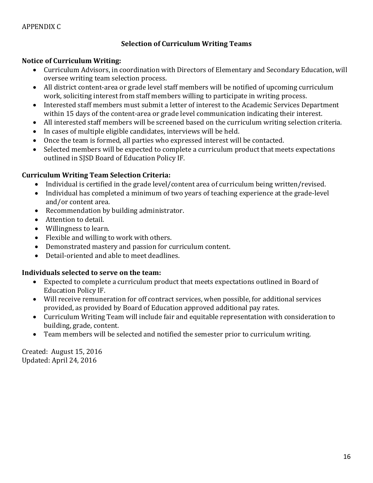#### APPENDIX C

#### **Selection of Curriculum Writing Teams**

#### **Notice of Curriculum Writing:**

- Curriculum Advisors, in coordination with Directors of Elementary and Secondary Education, will oversee writing team selection process.
- All district content-area or grade level staff members will be notified of upcoming curriculum work, soliciting interest from staff members willing to participate in writing process.
- Interested staff members must submit a letter of interest to the Academic Services Department within 15 days of the content-area or grade level communication indicating their interest.
- All interested staff members will be screened based on the curriculum writing selection criteria.
- $\bullet$  In cases of multiple eligible candidates, interviews will be held.
- Once the team is formed, all parties who expressed interest will be contacted.
- Selected members will be expected to complete a curriculum product that meets expectations outlined in SJSD Board of Education Policy IF.

#### **Curriculum Writing Team Selection Criteria:**

- Individual is certified in the grade level/content area of curriculum being written/revised.
- Individual has completed a minimum of two years of teaching experience at the grade-level and/or content area.
- Recommendation by building administrator.
- Attention to detail.
- Willingness to learn.
- Flexible and willing to work with others.
- Demonstrated mastery and passion for curriculum content.
- Detail-oriented and able to meet deadlines.

#### **Individuals selected to serve on the team:**

- Expected to complete a curriculum product that meets expectations outlined in Board of Education Policy IF.
- Will receive remuneration for off contract services, when possible, for additional services provided, as provided by Board of Education approved additional pay rates.
- Curriculum Writing Team will include fair and equitable representation with consideration to building, grade, content.
- Team members will be selected and notified the semester prior to curriculum writing.

Created: August 15, 2016 Updated: April 24, 2016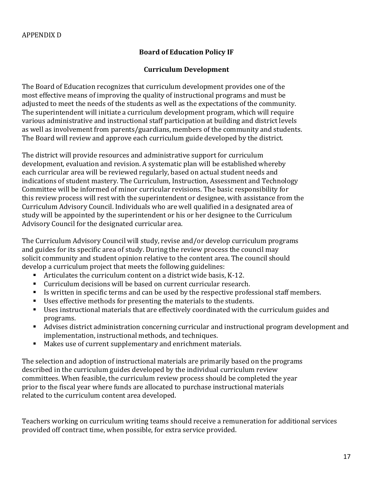#### **Board of Education Policy IF**

#### **Curriculum Development**

The Board of Education recognizes that curriculum development provides one of the most effective means of improving the quality of instructional programs and must be adjusted to meet the needs of the students as well as the expectations of the community. The superintendent will initiate a curriculum development program, which will require various administrative and instructional staff participation at building and district levels as well as involvement from parents/guardians, members of the community and students. The Board will review and approve each curriculum guide developed by the district.

The district will provide resources and administrative support for curriculum development, evaluation and revision. A systematic plan will be established whereby each curricular area will be reviewed regularly, based on actual student needs and indications of student mastery. The Curriculum, Instruction, Assessment and Technology Committee will be informed of minor curricular revisions. The basic responsibility for this review process will rest with the superintendent or designee, with assistance from the Curriculum Advisory Council. Individuals who are well qualified in a designated area of study will be appointed by the superintendent or his or her designee to the Curriculum Advisory Council for the designated curricular area.

The Curriculum Advisory Council will study, revise and/or develop curriculum programs and guides for its specific area of study. During the review process the council may solicit community and student opinion relative to the content area. The council should develop a curriculum project that meets the following guidelines:

- Articulates the curriculum content on a district wide basis,  $K-12$ .
- Curriculum decisions will be based on current curricular research.
- Is written in specific terms and can be used by the respective professional staff members.
- Uses effective methods for presenting the materials to the students.
- Uses instructional materials that are effectively coordinated with the curriculum guides and programs.
- Advises district administration concerning curricular and instructional program development and implementation, instructional methods, and techniques.
- Makes use of current supplementary and enrichment materials.

The selection and adoption of instructional materials are primarily based on the programs described in the curriculum guides developed by the individual curriculum review committees. When feasible, the curriculum review process should be completed the year prior to the fiscal year where funds are allocated to purchase instructional materials related to the curriculum content area developed.

Teachers working on curriculum writing teams should receive a remuneration for additional services provided off contract time, when possible, for extra service provided.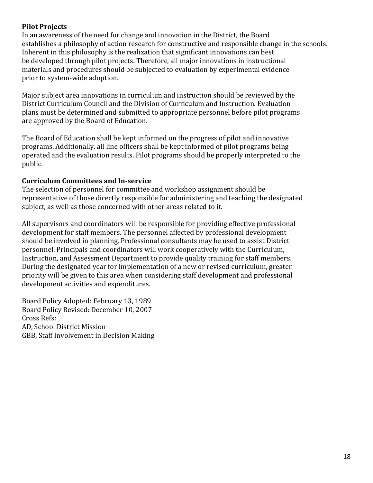#### **Pilot Projects**

In an awareness of the need for change and innovation in the District, the Board establishes a philosophy of action research for constructive and responsible change in the schools. Inherent in this philosophy is the realization that significant innovations can best be developed through pilot projects. Therefore, all major innovations in instructional materials and procedures should be subjected to evaluation by experimental evidence prior to system-wide adoption.

Major subject area innovations in curriculum and instruction should be reviewed by the District Curriculum Council and the Division of Curriculum and Instruction. Evaluation plans must be determined and submitted to appropriate personnel before pilot programs are approved by the Board of Education.

The Board of Education shall be kept informed on the progress of pilot and innovative programs. Additionally, all line officers shall be kept informed of pilot programs being operated and the evaluation results. Pilot programs should be properly interpreted to the public.

#### **Curriculum Committees and In-service**

The selection of personnel for committee and workshop assignment should be representative of those directly responsible for administering and teaching the designated subject, as well as those concerned with other areas related to it.

All supervisors and coordinators will be responsible for providing effective professional development for staff members. The personnel affected by professional development should be involved in planning. Professional consultants may be used to assist District personnel. Principals and coordinators will work cooperatively with the Curriculum, Instruction, and Assessment Department to provide quality training for staff members. During the designated year for implementation of a new or revised curriculum, greater priority will be given to this area when considering staff development and professional development activities and expenditures.

Board Policy Adopted: February 13, 1989 Board Policy Revised: December 10, 2007 Cross Refs: AD, School District Mission GBB, Staff Involvement in Decision Making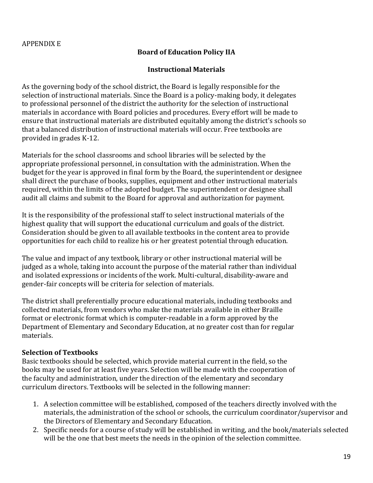#### **Board of Education Policy IIA**

#### **Instructional Materials**

As the governing body of the school district, the Board is legally responsible for the selection of instructional materials. Since the Board is a policy-making body, it delegates to professional personnel of the district the authority for the selection of instructional materials in accordance with Board policies and procedures. Every effort will be made to ensure that instructional materials are distributed equitably among the district's schools so that a balanced distribution of instructional materials will occur. Free textbooks are provided in grades K-12.

Materials for the school classrooms and school libraries will be selected by the appropriate professional personnel, in consultation with the administration. When the budget for the year is approved in final form by the Board, the superintendent or designee shall direct the purchase of books, supplies, equipment and other instructional materials required, within the limits of the adopted budget. The superintendent or designee shall audit all claims and submit to the Board for approval and authorization for payment.

It is the responsibility of the professional staff to select instructional materials of the highest quality that will support the educational curriculum and goals of the district. Consideration should be given to all available textbooks in the content area to provide opportunities for each child to realize his or her greatest potential through education.

The value and impact of any textbook, library or other instructional material will be judged as a whole, taking into account the purpose of the material rather than individual and isolated expressions or incidents of the work. Multi-cultural, disability-aware and gender-fair concepts will be criteria for selection of materials.

The district shall preferentially procure educational materials, including textbooks and collected materials, from vendors who make the materials available in either Braille format or electronic format which is computer-readable in a form approved by the Department of Elementary and Secondary Education, at no greater cost than for regular materials.

#### **Selection of Textbooks**

Basic textbooks should be selected, which provide material current in the field, so the books may be used for at least five years. Selection will be made with the cooperation of the faculty and administration, under the direction of the elementary and secondary curriculum directors. Textbooks will be selected in the following manner:

- 1. A selection committee will be established, composed of the teachers directly involved with the materials, the administration of the school or schools, the curriculum coordinator/supervisor and the Directors of Elementary and Secondary Education.
- 2. Specific needs for a course of study will be established in writing, and the book/materials selected will be the one that best meets the needs in the opinion of the selection committee.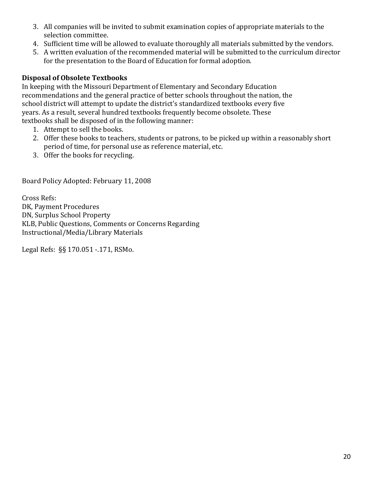- 3. All companies will be invited to submit examination copies of appropriate materials to the selection committee.
- 4. Sufficient time will be allowed to evaluate thoroughly all materials submitted by the vendors.
- 5. A written evaluation of the recommended material will be submitted to the curriculum director for the presentation to the Board of Education for formal adoption.

### **Disposal of Obsolete Textbooks**

In keeping with the Missouri Department of Elementary and Secondary Education recommendations and the general practice of better schools throughout the nation, the school district will attempt to update the district's standardized textbooks every five years. As a result, several hundred textbooks frequently become obsolete. These textbooks shall be disposed of in the following manner:

- 1. Attempt to sell the books.
- 2. Offer these books to teachers, students or patrons, to be picked up within a reasonably short period of time, for personal use as reference material, etc.
- 3. Offer the books for recycling.

Board Policy Adopted: February 11, 2008

Cross Refs: DK, Payment Procedures DN, Surplus School Property KLB, Public Questions, Comments or Concerns Regarding Instructional/Media/Library Materials

Legal Refs: §§ 170.051 -.171, RSMo.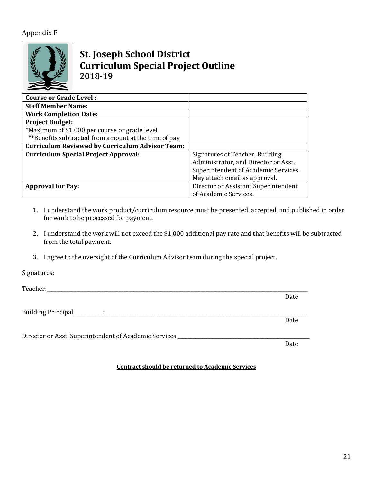#### Appendix F



# **St. Joseph School District Curriculum Special Project Outline 2018-19**

| <b>Course or Grade Level:</b>                          |                                      |
|--------------------------------------------------------|--------------------------------------|
| <b>Staff Member Name:</b>                              |                                      |
| <b>Work Completion Date:</b>                           |                                      |
| <b>Project Budget:</b>                                 |                                      |
| *Maximum of \$1,000 per course or grade level          |                                      |
| **Benefits subtracted from amount at the time of pay   |                                      |
| <b>Curriculum Reviewed by Curriculum Advisor Team:</b> |                                      |
| <b>Curriculum Special Project Approval:</b>            | Signatures of Teacher, Building      |
|                                                        | Administrator, and Director or Asst. |
|                                                        | Superintendent of Academic Services. |
|                                                        | May attach email as approval.        |
| <b>Approval for Pay:</b>                               | Director or Assistant Superintendent |
|                                                        | of Academic Services.                |

- 1. I understand the work product/curriculum resource must be presented, accepted, and published in order for work to be processed for payment.
- 2. I understand the work will not exceed the \$1,000 additional pay rate and that benefits will be subtracted from the total payment.
- 3. I agree to the oversight of the Curriculum Advisor team during the special project.

Signatures:

Teacher:

Building Principal\_\_\_\_\_\_\_\_\_\_\_\_:\_\_\_\_\_\_\_\_\_\_\_\_\_\_\_\_\_\_\_\_\_\_\_\_\_\_\_\_\_\_\_\_\_\_\_\_\_\_\_\_\_\_\_\_\_\_\_\_\_\_\_\_\_\_\_\_\_\_\_\_\_\_\_\_\_\_\_\_\_\_\_\_\_\_\_\_\_\_\_\_\_\_

Director or Asst. Superintendent of Academic Services:

**Contract should be returned to Academic Services** 

Date

Date

Date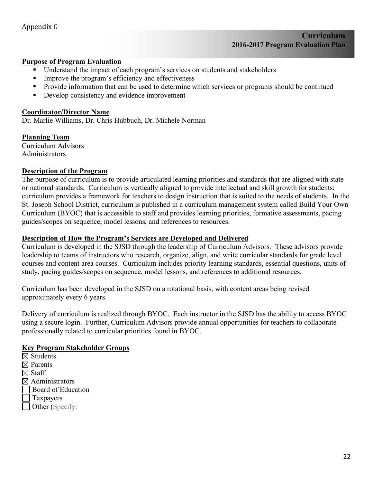#### **Purpose of Program Evaluation**

- Understand the impact of each program's services on students and stakeholders
- Improve the program's efficiency and effectiveness
- Provide information that can be used to determine which services or programs should be continued
- Develop consistency and evidence improvement

#### **Coordinator/Director Name**

Dr. Marlie Williams, Dr. Chris Hubbuch, Dr. Michele Norman

**Planning Team** Curriculum Advisors Administrators

#### **Description of the Program**

The purpose of curriculum is to provide articulated learning priorities and standards that are aligned with state or national standards. Curriculum is vertically aligned to provide intellectual and skill growth for students; curriculum provides a framework for teachers to design instruction that is suited to the needs of students. In the St. Joseph School District, curriculum is published in a curriculum management system called Build Your Own Curriculum (BYOC) that is accessible to staff and provides learning priorities, formative assessments, pacing guides/scopes on sequence, model lessons, and references to resources.

#### **Description of How the Program's Services are Developed and Delivered**

Curriculum is developed in the SJSD through the leadership of Curriculum Advisors. These advisors provide leadership to teams of instructors who research, organize, align, and write curricular standards for grade level courses and content area courses. Curriculum includes priority learning standards, essential questions, units of study, pacing guides/scopes on sequence, model lessons, and references to additional resources.

Curriculum has been developed in the SJSD on a rotational basis, with content areas being revised approximately every 6 years.

Delivery of curriculum is realized through BYOC. Each instructor in the SJSD has the ability to access BYOC using a secure login. Further, Curriculum Advisors provide annual opportunities for teachers to collaborate professionally related to curricular priorities found in BYOC.

#### **Key Program Stakeholder Groups**

- $\boxtimes$  Students  $\boxtimes$  Parents  $\boxtimes$  Staff  $\boxtimes$  Administrators Board of Education Taxpayers
- Other (Specify.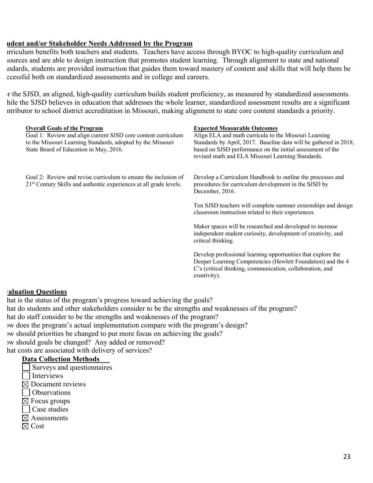#### **Student and/or Stakeholder Needs Addressed by the Program**

Irriculum benefits both teachers and students. Teachers have access through BYOC to high-quality curriculum and sources and are able to design instruction that promotes student learning. Through alignment to state and national standards, students are provided instruction that guides them toward mastery of content and skills that will help them be cessful both on standardized assessments and in college and careers.

r the SJSD, an aligned, high-quality curriculum builds student proficiency, as measured by standardized assessments. hile the SJSD believes in education that addresses the whole learner, standardized assessment results are a significant ntributor to school district accreditation in Missouri, making alignment to state core content standards a priority.

| <b>Overall Goals of the Program</b><br>Goal 1: Review and align current SJSD core content curriculum<br>to the Missouri Learning Standards, adopted by the Missouri<br>State Board of Education in May, 2016. | <b>Expected Measurable Outcomes</b><br>Align ELA and math curricula to the Missouri Learning<br>Standards by April, 2017. Baseline data will be gathered in 2018,<br>based on SJSD performance on the initial assessment of the<br>revised math and ELA Missouri Learning Standards. |
|---------------------------------------------------------------------------------------------------------------------------------------------------------------------------------------------------------------|--------------------------------------------------------------------------------------------------------------------------------------------------------------------------------------------------------------------------------------------------------------------------------------|
| Goal 2: Review and revise curriculum to ensure the inclusion of<br>21 <sup>st</sup> Century Skills and authentic experiences at all grade levels.                                                             | Develop a Curriculum Handbook to outline the processes and<br>procedures for curriculum development in the SJSD by<br>December, 2016.                                                                                                                                                |
|                                                                                                                                                                                                               | Ten SJSD teachers will complete summer externships and design<br>classroom instruction related to their experiences.                                                                                                                                                                 |
|                                                                                                                                                                                                               | Maker spaces will be researched and developed to increase<br>independent student curiosity, development of creativity, and<br>critical thinking.                                                                                                                                     |
|                                                                                                                                                                                                               | Develop professional learning opportunities that explore the<br>Deeper Learning Competencies (Hewlett Foundation) and the 4<br>C's (critical thinking, communication, collaboration, and<br>creativity).                                                                             |

#### **Evaluation Questions**

hat is the status of the program's progress toward achieving the goals? hat do students and other stakeholders consider to be the strengths and weaknesses of the program? hat do staff consider to be the strengths and weaknesses of the program? § How does the program's actual implementation compare with the program's design? § How should priorities be changed to put more focus on achieving the goals? § How should goals be changed? Any added or removed? hat costs are associated with delivery of services?

#### **Data Collection Methods**

- Surveys and questionnaires  $\Box$  Interviews
- $\boxtimes$  Document reviews
- Observations
- $\boxtimes$  Focus groups
- Case studies
- $\boxtimes$  Assessments
- $\boxtimes$  Cost